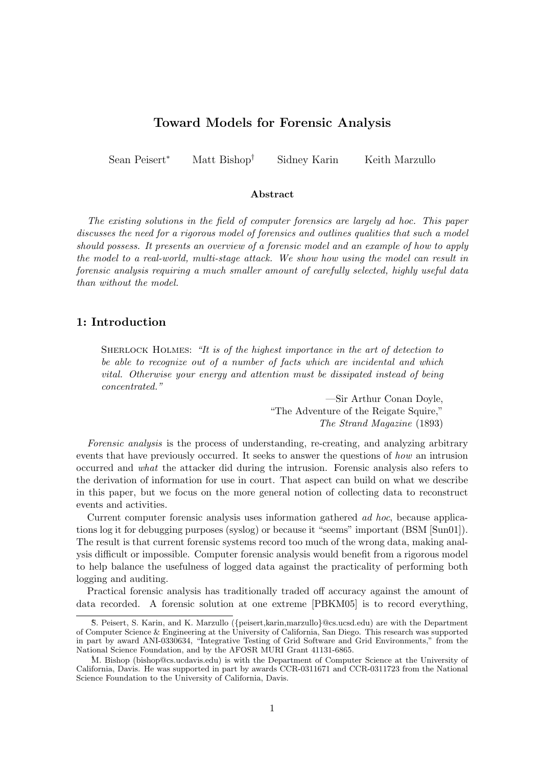# Toward Models for Forensic Analysis

Sean Peisert<sup>∗</sup> Matt Bishop† Sidney Karin Keith Marzullo

#### Abstract

The existing solutions in the field of computer forensics are largely ad hoc. This paper discusses the need for a rigorous model of forensics and outlines qualities that such a model should possess. It presents an overview of a forensic model and an example of how to apply the model to a real-world, multi-stage attack. We show how using the model can result in forensic analysis requiring a much smaller amount of carefully selected, highly useful data than without the model.

### 1: Introduction

SHERLOCK HOLMES: "It is of the highest importance in the art of detection to be able to recognize out of a number of facts which are incidental and which vital. Otherwise your energy and attention must be dissipated instead of being concentrated."

> —Sir Arthur Conan Doyle, "The Adventure of the Reigate Squire," The Strand Magazine (1893)

Forensic analysis is the process of understanding, re-creating, and analyzing arbitrary events that have previously occurred. It seeks to answer the questions of how an intrusion occurred and what the attacker did during the intrusion. Forensic analysis also refers to the derivation of information for use in court. That aspect can build on what we describe in this paper, but we focus on the more general notion of collecting data to reconstruct events and activities.

Current computer forensic analysis uses information gathered ad hoc, because applications log it for debugging purposes (syslog) or because it "seems" important (BSM [Sun01]). The result is that current forensic systems record too much of the wrong data, making analysis difficult or impossible. Computer forensic analysis would benefit from a rigorous model to help balance the usefulness of logged data against the practicality of performing both logging and auditing.

Practical forensic analysis has traditionally traded off accuracy against the amount of data recorded. A forensic solution at one extreme [PBKM05] is to record everything,

<sup>∗</sup>S. Peisert, S. Karin, and K. Marzullo ({peisert,karin,marzullo}@cs.ucsd.edu) are with the Department of Computer Science & Engineering at the University of California, San Diego. This research was supported in part by award ANI-0330634, "Integrative Testing of Grid Software and Grid Environments," from the National Science Foundation, and by the AFOSR MURI Grant 41131-6865.

<sup>†</sup>M. Bishop (bishop@cs.ucdavis.edu) is with the Department of Computer Science at the University of California, Davis. He was supported in part by awards CCR-0311671 and CCR-0311723 from the National Science Foundation to the University of California, Davis.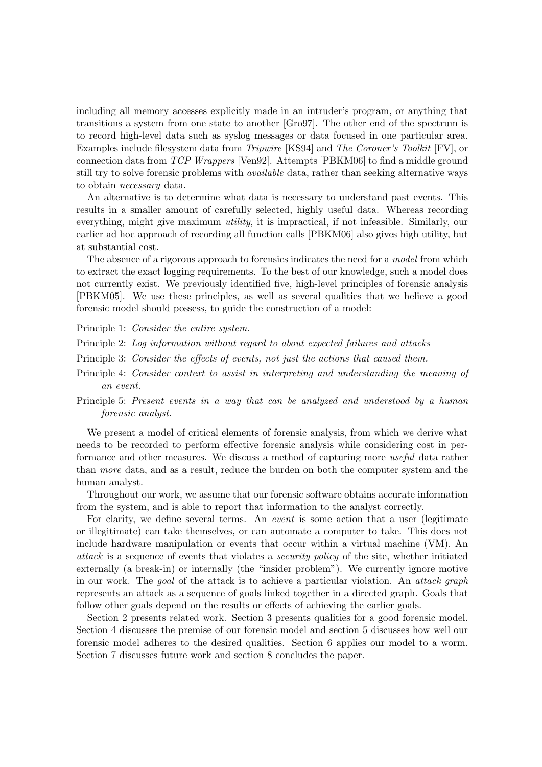including all memory accesses explicitly made in an intruder's program, or anything that transitions a system from one state to another [Gro97]. The other end of the spectrum is to record high-level data such as syslog messages or data focused in one particular area. Examples include filesystem data from Tripwire [KS94] and The Coroner's Toolkit [FV], or connection data from TCP Wrappers [Ven92]. Attempts [PBKM06] to find a middle ground still try to solve forensic problems with *available* data, rather than seeking alternative ways to obtain necessary data.

An alternative is to determine what data is necessary to understand past events. This results in a smaller amount of carefully selected, highly useful data. Whereas recording everything, might give maximum *utility*, it is impractical, if not infeasible. Similarly, our earlier ad hoc approach of recording all function calls [PBKM06] also gives high utility, but at substantial cost.

The absence of a rigorous approach to forensics indicates the need for a *model* from which to extract the exact logging requirements. To the best of our knowledge, such a model does not currently exist. We previously identified five, high-level principles of forensic analysis [PBKM05]. We use these principles, as well as several qualities that we believe a good forensic model should possess, to guide the construction of a model:

Principle 1: Consider the entire system.

- Principle 2: Log information without regard to about expected failures and attacks
- Principle 3: Consider the effects of events, not just the actions that caused them.
- Principle 4: Consider context to assist in interpreting and understanding the meaning of an event.
- Principle 5: Present events in a way that can be analyzed and understood by a human forensic analyst.

We present a model of critical elements of forensic analysis, from which we derive what needs to be recorded to perform effective forensic analysis while considering cost in performance and other measures. We discuss a method of capturing more useful data rather than more data, and as a result, reduce the burden on both the computer system and the human analyst.

Throughout our work, we assume that our forensic software obtains accurate information from the system, and is able to report that information to the analyst correctly.

For clarity, we define several terms. An event is some action that a user (legitimate or illegitimate) can take themselves, or can automate a computer to take. This does not include hardware manipulation or events that occur within a virtual machine (VM). An attack is a sequence of events that violates a security policy of the site, whether initiated externally (a break-in) or internally (the "insider problem"). We currently ignore motive in our work. The goal of the attack is to achieve a particular violation. An attack graph represents an attack as a sequence of goals linked together in a directed graph. Goals that follow other goals depend on the results or effects of achieving the earlier goals.

Section 2 presents related work. Section 3 presents qualities for a good forensic model. Section 4 discusses the premise of our forensic model and section 5 discusses how well our forensic model adheres to the desired qualities. Section 6 applies our model to a worm. Section 7 discusses future work and section 8 concludes the paper.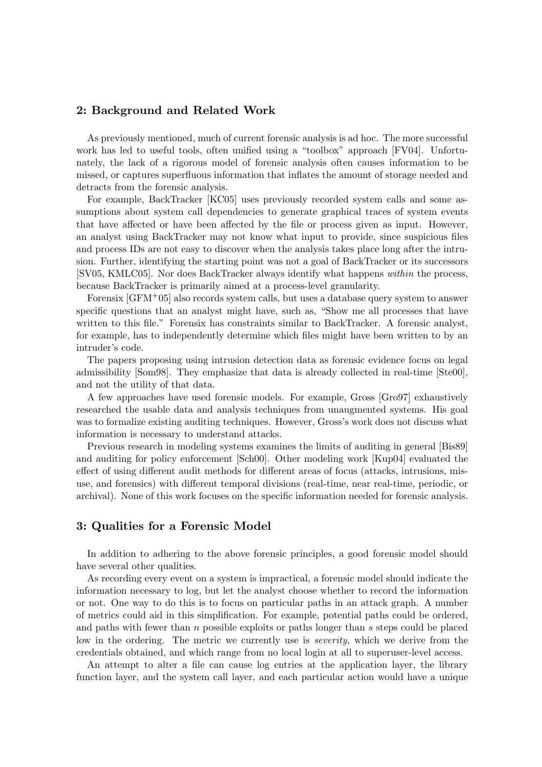# 2: Background and Related Work

As previously mentioned, much of current forensic analysis is ad hoc. The more successful work has led to useful tools, often unified using a "toolbox" approach [FV04]. Unfortunately, the lack of a rigorous model of forensic analysis often causes information to be missed, or captures superfluous information that inflates the amount of storage needed and detracts from the forensic analysis.

For example, BackTracker [KC05] uses previously recorded system calls and some assumptions about system call dependencies to generate graphical traces of system events that have affected or have been affected by the file or process given as input. However, an analyst using BackTracker may not know what input to provide, since suspicious files and process IDs are not easy to discover when the analysis takes place long after the intrusion. Further, identifying the starting point was not a goal of BackTracker or its successors [SV05, KMLC05]. Nor does BackTracker always identify what happens within the process, because BackTracker is primarily aimed at a process-level granularity.

Forensix [GFM+05] also records system calls, but uses a database query system to answer specific questions that an analyst might have, such as, "Show me all processes that have written to this file." Forensix has constraints similar to BackTracker. A forensic analyst, for example, has to independently determine which files might have been written to by an intruder's code.

The papers proposing using intrusion detection data as forensic evidence focus on legal admissibility [Som98]. They emphasize that data is already collected in real-time [Ste00], and not the utility of that data.

A few approaches have used forensic models. For example, Gross [Gro97] exhaustively researched the usable data and analysis techniques from unaugmented systems. His goal was to formalize existing auditing techniques. However, Gross's work does not discuss what information is necessary to understand attacks.

Previous research in modeling systems examines the limits of auditing in general [Bis89] and auditing for policy enforcement [Sch00]. Other modeling work [Kup04] evaluated the effect of using different audit methods for different areas of focus (attacks, intrusions, misuse, and forensics) with different temporal divisions (real-time, near real-time, periodic, or archival). None of this work focuses on the specific information needed for forensic analysis.

# 3: Qualities for a Forensic Model

In addition to adhering to the above forensic principles, a good forensic model should have several other qualities.

As recording every event on a system is impractical, a forensic model should indicate the information necessary to log, but let the analyst choose whether to record the information or not. One way to do this is to focus on particular paths in an attack graph. A number of metrics could aid in this simplification. For example, potential paths could be ordered, and paths with fewer than  $n$  possible exploits or paths longer than  $s$  steps could be placed low in the ordering. The metric we currently use is *severity*, which we derive from the credentials obtained, and which range from no local login at all to superuser-level access.

An attempt to alter a file can cause log entries at the application layer, the library function layer, and the system call layer, and each particular action would have a unique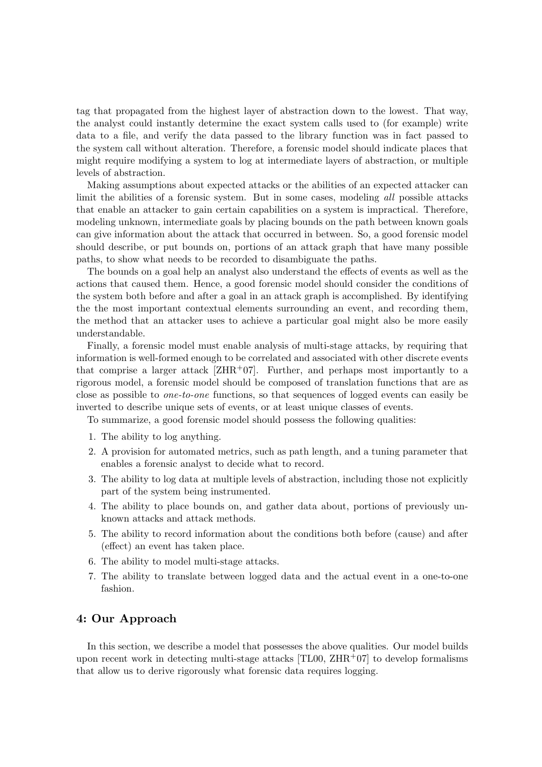tag that propagated from the highest layer of abstraction down to the lowest. That way, the analyst could instantly determine the exact system calls used to (for example) write data to a file, and verify the data passed to the library function was in fact passed to the system call without alteration. Therefore, a forensic model should indicate places that might require modifying a system to log at intermediate layers of abstraction, or multiple levels of abstraction.

Making assumptions about expected attacks or the abilities of an expected attacker can limit the abilities of a forensic system. But in some cases, modeling all possible attacks that enable an attacker to gain certain capabilities on a system is impractical. Therefore, modeling unknown, intermediate goals by placing bounds on the path between known goals can give information about the attack that occurred in between. So, a good forensic model should describe, or put bounds on, portions of an attack graph that have many possible paths, to show what needs to be recorded to disambiguate the paths.

The bounds on a goal help an analyst also understand the effects of events as well as the actions that caused them. Hence, a good forensic model should consider the conditions of the system both before and after a goal in an attack graph is accomplished. By identifying the the most important contextual elements surrounding an event, and recording them, the method that an attacker uses to achieve a particular goal might also be more easily understandable.

Finally, a forensic model must enable analysis of multi-stage attacks, by requiring that information is well-formed enough to be correlated and associated with other discrete events that comprise a larger attack  $[ZHR^+07]$ . Further, and perhaps most importantly to a rigorous model, a forensic model should be composed of translation functions that are as close as possible to one-to-one functions, so that sequences of logged events can easily be inverted to describe unique sets of events, or at least unique classes of events.

To summarize, a good forensic model should possess the following qualities:

- 1. The ability to log anything.
- 2. A provision for automated metrics, such as path length, and a tuning parameter that enables a forensic analyst to decide what to record.
- 3. The ability to log data at multiple levels of abstraction, including those not explicitly part of the system being instrumented.
- 4. The ability to place bounds on, and gather data about, portions of previously unknown attacks and attack methods.
- 5. The ability to record information about the conditions both before (cause) and after (effect) an event has taken place.
- 6. The ability to model multi-stage attacks.
- 7. The ability to translate between logged data and the actual event in a one-to-one fashion.

# 4: Our Approach

In this section, we describe a model that possesses the above qualities. Our model builds upon recent work in detecting multi-stage attacks  $[TL00, ZHR<sup>+</sup>07]$  to develop formalisms that allow us to derive rigorously what forensic data requires logging.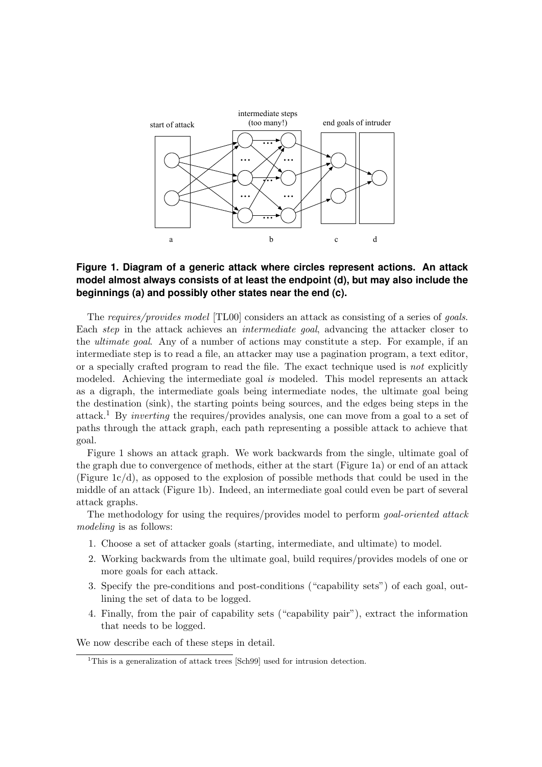

# **Figure 1. Diagram of a generic attack where circles represent actions. An attack model almost always consists of at least the endpoint (d), but may also include the beginnings (a) and possibly other states near the end (c).**

The requires/provides model [TL00] considers an attack as consisting of a series of goals. Each step in the attack achieves an intermediate goal, advancing the attacker closer to the ultimate goal. Any of a number of actions may constitute a step. For example, if an intermediate step is to read a file, an attacker may use a pagination program, a text editor, or a specially crafted program to read the file. The exact technique used is not explicitly modeled. Achieving the intermediate goal is modeled. This model represents an attack as a digraph, the intermediate goals being intermediate nodes, the ultimate goal being the destination (sink), the starting points being sources, and the edges being steps in the attack.<sup>1</sup> By *inverting* the requires/provides analysis, one can move from a goal to a set of paths through the attack graph, each path representing a possible attack to achieve that goal.

Figure 1 shows an attack graph. We work backwards from the single, ultimate goal of the graph due to convergence of methods, either at the start (Figure 1a) or end of an attack (Figure  $1c/d$ ), as opposed to the explosion of possible methods that could be used in the middle of an attack (Figure 1b). Indeed, an intermediate goal could even be part of several attack graphs.

The methodology for using the requires/provides model to perform goal-oriented attack modeling is as follows:

- 1. Choose a set of attacker goals (starting, intermediate, and ultimate) to model.
- 2. Working backwards from the ultimate goal, build requires/provides models of one or more goals for each attack.
- 3. Specify the pre-conditions and post-conditions ("capability sets") of each goal, outlining the set of data to be logged.
- 4. Finally, from the pair of capability sets ("capability pair"), extract the information that needs to be logged.

We now describe each of these steps in detail.

<sup>&</sup>lt;sup>1</sup>This is a generalization of attack trees [Sch99] used for intrusion detection.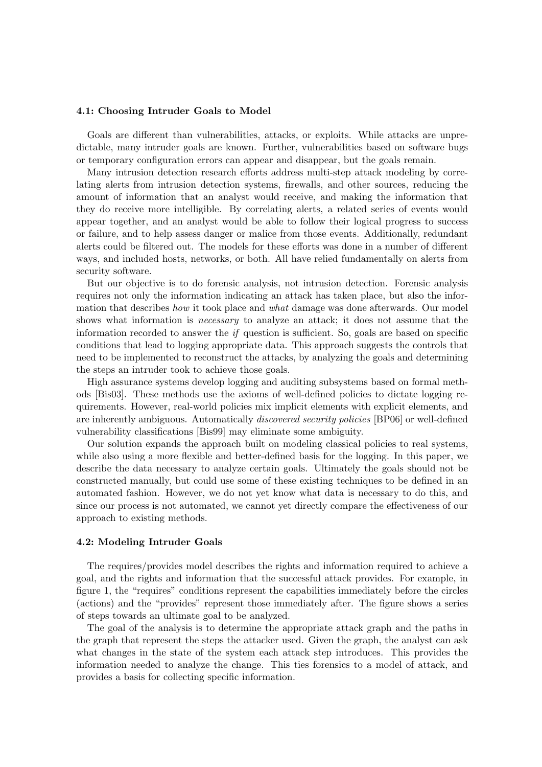#### 4.1: Choosing Intruder Goals to Model

Goals are different than vulnerabilities, attacks, or exploits. While attacks are unpredictable, many intruder goals are known. Further, vulnerabilities based on software bugs or temporary configuration errors can appear and disappear, but the goals remain.

Many intrusion detection research efforts address multi-step attack modeling by correlating alerts from intrusion detection systems, firewalls, and other sources, reducing the amount of information that an analyst would receive, and making the information that they do receive more intelligible. By correlating alerts, a related series of events would appear together, and an analyst would be able to follow their logical progress to success or failure, and to help assess danger or malice from those events. Additionally, redundant alerts could be filtered out. The models for these efforts was done in a number of different ways, and included hosts, networks, or both. All have relied fundamentally on alerts from security software.

But our objective is to do forensic analysis, not intrusion detection. Forensic analysis requires not only the information indicating an attack has taken place, but also the information that describes how it took place and what damage was done afterwards. Our model shows what information is necessary to analyze an attack; it does not assume that the information recorded to answer the if question is sufficient. So, goals are based on specific conditions that lead to logging appropriate data. This approach suggests the controls that need to be implemented to reconstruct the attacks, by analyzing the goals and determining the steps an intruder took to achieve those goals.

High assurance systems develop logging and auditing subsystems based on formal methods [Bis03]. These methods use the axioms of well-defined policies to dictate logging requirements. However, real-world policies mix implicit elements with explicit elements, and are inherently ambiguous. Automatically discovered security policies [BP06] or well-defined vulnerability classifications [Bis99] may eliminate some ambiguity.

Our solution expands the approach built on modeling classical policies to real systems, while also using a more flexible and better-defined basis for the logging. In this paper, we describe the data necessary to analyze certain goals. Ultimately the goals should not be constructed manually, but could use some of these existing techniques to be defined in an automated fashion. However, we do not yet know what data is necessary to do this, and since our process is not automated, we cannot yet directly compare the effectiveness of our approach to existing methods.

#### 4.2: Modeling Intruder Goals

The requires/provides model describes the rights and information required to achieve a goal, and the rights and information that the successful attack provides. For example, in figure 1, the "requires" conditions represent the capabilities immediately before the circles (actions) and the "provides" represent those immediately after. The figure shows a series of steps towards an ultimate goal to be analyzed.

The goal of the analysis is to determine the appropriate attack graph and the paths in the graph that represent the steps the attacker used. Given the graph, the analyst can ask what changes in the state of the system each attack step introduces. This provides the information needed to analyze the change. This ties forensics to a model of attack, and provides a basis for collecting specific information.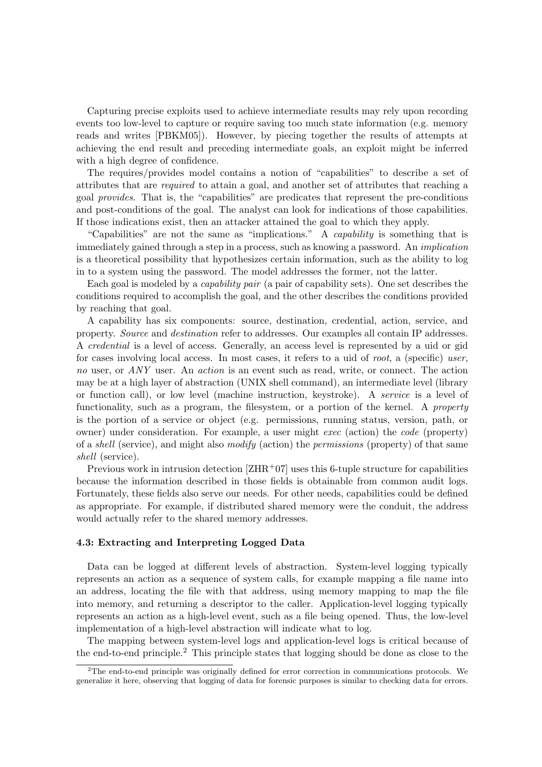Capturing precise exploits used to achieve intermediate results may rely upon recording events too low-level to capture or require saving too much state information (e.g. memory reads and writes [PBKM05]). However, by piecing together the results of attempts at achieving the end result and preceding intermediate goals, an exploit might be inferred with a high degree of confidence.

The requires/provides model contains a notion of "capabilities" to describe a set of attributes that are required to attain a goal, and another set of attributes that reaching a goal provides. That is, the "capabilities" are predicates that represent the pre-conditions and post-conditions of the goal. The analyst can look for indications of those capabilities. If those indications exist, then an attacker attained the goal to which they apply.

"Capabilities" are not the same as "implications." A capability is something that is immediately gained through a step in a process, such as knowing a password. An implication is a theoretical possibility that hypothesizes certain information, such as the ability to log in to a system using the password. The model addresses the former, not the latter.

Each goal is modeled by a capability pair (a pair of capability sets). One set describes the conditions required to accomplish the goal, and the other describes the conditions provided by reaching that goal.

A capability has six components: source, destination, credential, action, service, and property. Source and destination refer to addresses. Our examples all contain IP addresses. A credential is a level of access. Generally, an access level is represented by a uid or gid for cases involving local access. In most cases, it refers to a uid of root, a (specific) user, no user, or ANY user. An action is an event such as read, write, or connect. The action may be at a high layer of abstraction (UNIX shell command), an intermediate level (library or function call), or low level (machine instruction, keystroke). A service is a level of functionality, such as a program, the filesystem, or a portion of the kernel. A *property* is the portion of a service or object (e.g. permissions, running status, version, path, or owner) under consideration. For example, a user might exec (action) the code (property) of a shell (service), and might also modify (action) the permissions (property) of that same shell (service).

Previous work in intrusion detection  $[ZHR<sup>+</sup>07]$  uses this 6-tuple structure for capabilities because the information described in those fields is obtainable from common audit logs. Fortunately, these fields also serve our needs. For other needs, capabilities could be defined as appropriate. For example, if distributed shared memory were the conduit, the address would actually refer to the shared memory addresses.

#### 4.3: Extracting and Interpreting Logged Data

Data can be logged at different levels of abstraction. System-level logging typically represents an action as a sequence of system calls, for example mapping a file name into an address, locating the file with that address, using memory mapping to map the file into memory, and returning a descriptor to the caller. Application-level logging typically represents an action as a high-level event, such as a file being opened. Thus, the low-level implementation of a high-level abstraction will indicate what to log.

The mapping between system-level logs and application-level logs is critical because of the end-to-end principle.<sup>2</sup> This principle states that logging should be done as close to the

 $2$ The end-to-end principle was originally defined for error correction in communications protocols. We generalize it here, observing that logging of data for forensic purposes is similar to checking data for errors.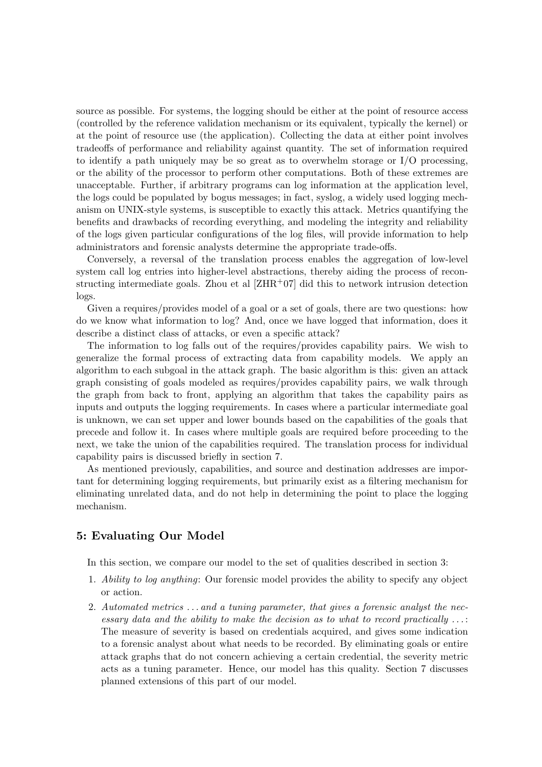source as possible. For systems, the logging should be either at the point of resource access (controlled by the reference validation mechanism or its equivalent, typically the kernel) or at the point of resource use (the application). Collecting the data at either point involves tradeoffs of performance and reliability against quantity. The set of information required to identify a path uniquely may be so great as to overwhelm storage or I/O processing, or the ability of the processor to perform other computations. Both of these extremes are unacceptable. Further, if arbitrary programs can log information at the application level, the logs could be populated by bogus messages; in fact, syslog, a widely used logging mechanism on UNIX-style systems, is susceptible to exactly this attack. Metrics quantifying the benefits and drawbacks of recording everything, and modeling the integrity and reliability of the logs given particular configurations of the log files, will provide information to help administrators and forensic analysts determine the appropriate trade-offs.

Conversely, a reversal of the translation process enables the aggregation of low-level system call log entries into higher-level abstractions, thereby aiding the process of reconstructing intermediate goals. Zhou et al  $[ZHR<sup>+</sup>07]$  did this to network intrusion detection logs.

Given a requires/provides model of a goal or a set of goals, there are two questions: how do we know what information to log? And, once we have logged that information, does it describe a distinct class of attacks, or even a specific attack?

The information to log falls out of the requires/provides capability pairs. We wish to generalize the formal process of extracting data from capability models. We apply an algorithm to each subgoal in the attack graph. The basic algorithm is this: given an attack graph consisting of goals modeled as requires/provides capability pairs, we walk through the graph from back to front, applying an algorithm that takes the capability pairs as inputs and outputs the logging requirements. In cases where a particular intermediate goal is unknown, we can set upper and lower bounds based on the capabilities of the goals that precede and follow it. In cases where multiple goals are required before proceeding to the next, we take the union of the capabilities required. The translation process for individual capability pairs is discussed briefly in section 7.

As mentioned previously, capabilities, and source and destination addresses are important for determining logging requirements, but primarily exist as a filtering mechanism for eliminating unrelated data, and do not help in determining the point to place the logging mechanism.

# 5: Evaluating Our Model

In this section, we compare our model to the set of qualities described in section 3:

- 1. Ability to log anything: Our forensic model provides the ability to specify any object or action.
- 2. Automated metrics . . . and a tuning parameter, that gives a forensic analyst the necessary data and the ability to make the decision as to what to record practically . . .: The measure of severity is based on credentials acquired, and gives some indication to a forensic analyst about what needs to be recorded. By eliminating goals or entire attack graphs that do not concern achieving a certain credential, the severity metric acts as a tuning parameter. Hence, our model has this quality. Section 7 discusses planned extensions of this part of our model.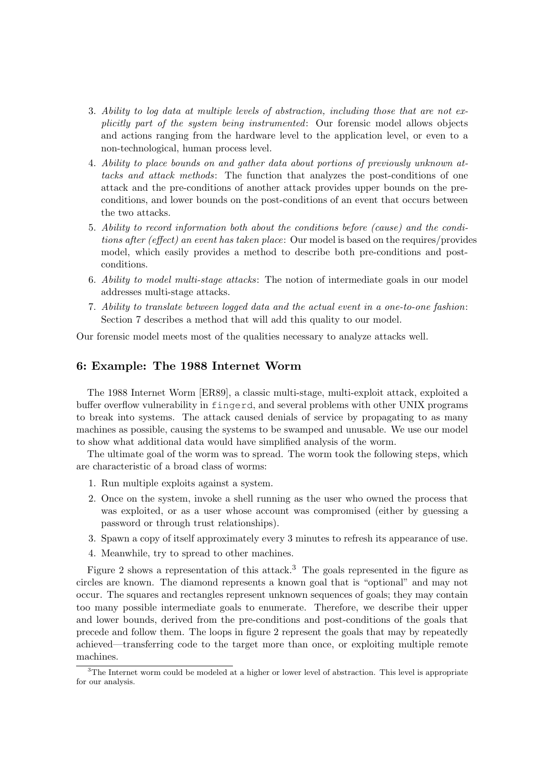- 3. Ability to log data at multiple levels of abstraction, including those that are not explicitly part of the system being instrumented: Our forensic model allows objects and actions ranging from the hardware level to the application level, or even to a non-technological, human process level.
- 4. Ability to place bounds on and gather data about portions of previously unknown attacks and attack methods: The function that analyzes the post-conditions of one attack and the pre-conditions of another attack provides upper bounds on the preconditions, and lower bounds on the post-conditions of an event that occurs between the two attacks.
- 5. Ability to record information both about the conditions before (cause) and the conditions after (effect) an event has taken place: Our model is based on the requires/provides model, which easily provides a method to describe both pre-conditions and postconditions.
- 6. Ability to model multi-stage attacks: The notion of intermediate goals in our model addresses multi-stage attacks.
- 7. Ability to translate between logged data and the actual event in a one-to-one fashion: Section 7 describes a method that will add this quality to our model.

Our forensic model meets most of the qualities necessary to analyze attacks well.

# 6: Example: The 1988 Internet Worm

The 1988 Internet Worm [ER89], a classic multi-stage, multi-exploit attack, exploited a buffer overflow vulnerability in fingerd, and several problems with other UNIX programs to break into systems. The attack caused denials of service by propagating to as many machines as possible, causing the systems to be swamped and unusable. We use our model to show what additional data would have simplified analysis of the worm.

The ultimate goal of the worm was to spread. The worm took the following steps, which are characteristic of a broad class of worms:

- 1. Run multiple exploits against a system.
- 2. Once on the system, invoke a shell running as the user who owned the process that was exploited, or as a user whose account was compromised (either by guessing a password or through trust relationships).
- 3. Spawn a copy of itself approximately every 3 minutes to refresh its appearance of use.
- 4. Meanwhile, try to spread to other machines.

Figure 2 shows a representation of this attack.<sup>3</sup> The goals represented in the figure as circles are known. The diamond represents a known goal that is "optional" and may not occur. The squares and rectangles represent unknown sequences of goals; they may contain too many possible intermediate goals to enumerate. Therefore, we describe their upper and lower bounds, derived from the pre-conditions and post-conditions of the goals that precede and follow them. The loops in figure 2 represent the goals that may by repeatedly achieved—transferring code to the target more than once, or exploiting multiple remote machines.

 $3$ The Internet worm could be modeled at a higher or lower level of abstraction. This level is appropriate for our analysis.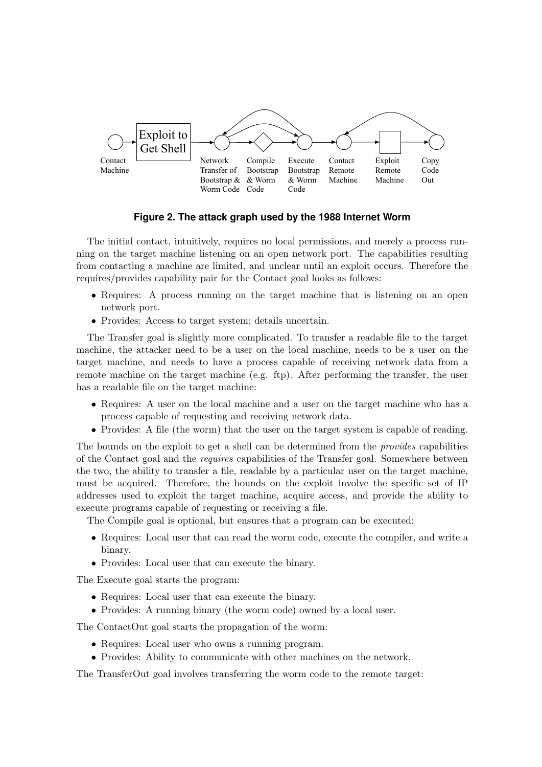

**Figure 2. The attack graph used by the 1988 Internet Worm**

The initial contact, intuitively, requires no local permissions, and merely a process running on the target machine listening on an open network port. The capabilities resulting from contacting a machine are limited, and unclear until an exploit occurs. Therefore the requires/provides capability pair for the Contact goal looks as follows:

- Requires: A process running on the target machine that is listening on an open network port.
- Provides: Access to target system; details uncertain.

The Transfer goal is slightly more complicated. To transfer a readable file to the target machine, the attacker need to be a user on the local machine, needs to be a user on the target machine, and needs to have a process capable of receiving network data from a remote machine on the target machine (e.g. ftp). After performing the transfer, the user has a readable file on the target machine:

- Requires: A user on the local machine and a user on the target machine who has a process capable of requesting and receiving network data.
- Provides: A file (the worm) that the user on the target system is capable of reading.

The bounds on the exploit to get a shell can be determined from the *provides* capabilities of the Contact goal and the requires capabilities of the Transfer goal. Somewhere between the two, the ability to transfer a file, readable by a particular user on the target machine, must be acquired. Therefore, the bounds on the exploit involve the specific set of IP addresses used to exploit the target machine, acquire access, and provide the ability to execute programs capable of requesting or receiving a file.

The Compile goal is optional, but ensures that a program can be executed:

- Requires: Local user that can read the worm code, execute the compiler, and write a binary.
- Provides: Local user that can execute the binary.

The Execute goal starts the program:

- Requires: Local user that can execute the binary.
- Provides: A running binary (the worm code) owned by a local user.

The ContactOut goal starts the propagation of the worm:

- Requires: Local user who owns a running program.
- Provides: Ability to communicate with other machines on the network.

The TransferOut goal involves transferring the worm code to the remote target: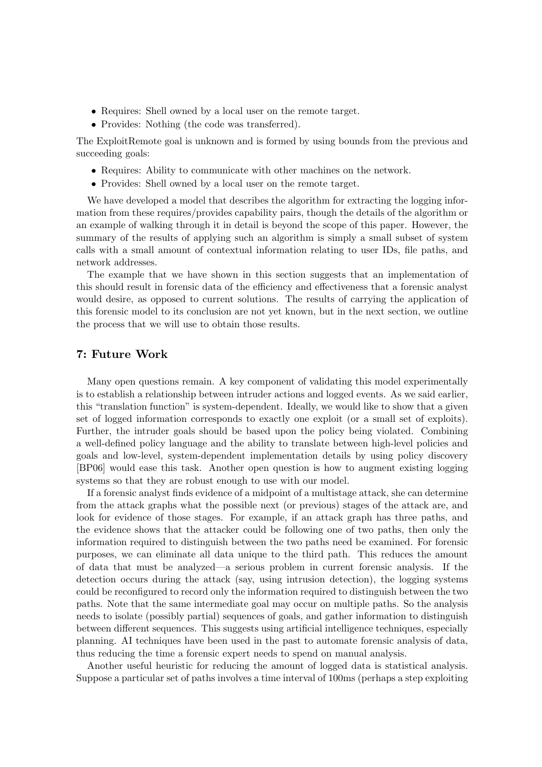- Requires: Shell owned by a local user on the remote target.
- Provides: Nothing (the code was transferred).

The ExploitRemote goal is unknown and is formed by using bounds from the previous and succeeding goals:

- Requires: Ability to communicate with other machines on the network.
- Provides: Shell owned by a local user on the remote target.

We have developed a model that describes the algorithm for extracting the logging information from these requires/provides capability pairs, though the details of the algorithm or an example of walking through it in detail is beyond the scope of this paper. However, the summary of the results of applying such an algorithm is simply a small subset of system calls with a small amount of contextual information relating to user IDs, file paths, and network addresses.

The example that we have shown in this section suggests that an implementation of this should result in forensic data of the efficiency and effectiveness that a forensic analyst would desire, as opposed to current solutions. The results of carrying the application of this forensic model to its conclusion are not yet known, but in the next section, we outline the process that we will use to obtain those results.

# 7: Future Work

Many open questions remain. A key component of validating this model experimentally is to establish a relationship between intruder actions and logged events. As we said earlier, this "translation function" is system-dependent. Ideally, we would like to show that a given set of logged information corresponds to exactly one exploit (or a small set of exploits). Further, the intruder goals should be based upon the policy being violated. Combining a well-defined policy language and the ability to translate between high-level policies and goals and low-level, system-dependent implementation details by using policy discovery [BP06] would ease this task. Another open question is how to augment existing logging systems so that they are robust enough to use with our model.

If a forensic analyst finds evidence of a midpoint of a multistage attack, she can determine from the attack graphs what the possible next (or previous) stages of the attack are, and look for evidence of those stages. For example, if an attack graph has three paths, and the evidence shows that the attacker could be following one of two paths, then only the information required to distinguish between the two paths need be examined. For forensic purposes, we can eliminate all data unique to the third path. This reduces the amount of data that must be analyzed—a serious problem in current forensic analysis. If the detection occurs during the attack (say, using intrusion detection), the logging systems could be reconfigured to record only the information required to distinguish between the two paths. Note that the same intermediate goal may occur on multiple paths. So the analysis needs to isolate (possibly partial) sequences of goals, and gather information to distinguish between different sequences. This suggests using artificial intelligence techniques, especially planning. AI techniques have been used in the past to automate forensic analysis of data, thus reducing the time a forensic expert needs to spend on manual analysis.

Another useful heuristic for reducing the amount of logged data is statistical analysis. Suppose a particular set of paths involves a time interval of 100ms (perhaps a step exploiting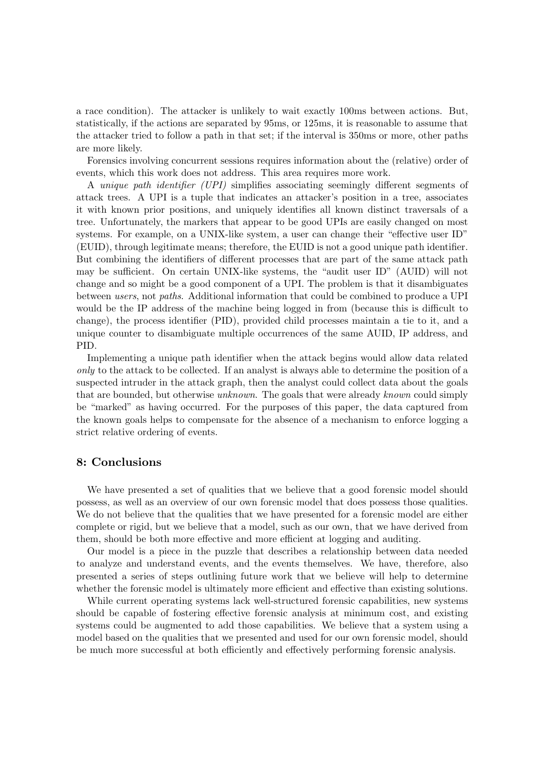a race condition). The attacker is unlikely to wait exactly 100ms between actions. But, statistically, if the actions are separated by 95ms, or 125ms, it is reasonable to assume that the attacker tried to follow a path in that set; if the interval is 350ms or more, other paths are more likely.

Forensics involving concurrent sessions requires information about the (relative) order of events, which this work does not address. This area requires more work.

A unique path identifier (UPI) simplifies associating seemingly different segments of attack trees. A UPI is a tuple that indicates an attacker's position in a tree, associates it with known prior positions, and uniquely identifies all known distinct traversals of a tree. Unfortunately, the markers that appear to be good UPIs are easily changed on most systems. For example, on a UNIX-like system, a user can change their "effective user ID" (EUID), through legitimate means; therefore, the EUID is not a good unique path identifier. But combining the identifiers of different processes that are part of the same attack path may be sufficient. On certain UNIX-like systems, the "audit user ID" (AUID) will not change and so might be a good component of a UPI. The problem is that it disambiguates between users, not paths. Additional information that could be combined to produce a UPI would be the IP address of the machine being logged in from (because this is difficult to change), the process identifier (PID), provided child processes maintain a tie to it, and a unique counter to disambiguate multiple occurrences of the same AUID, IP address, and PID.

Implementing a unique path identifier when the attack begins would allow data related only to the attack to be collected. If an analyst is always able to determine the position of a suspected intruder in the attack graph, then the analyst could collect data about the goals that are bounded, but otherwise unknown. The goals that were already known could simply be "marked" as having occurred. For the purposes of this paper, the data captured from the known goals helps to compensate for the absence of a mechanism to enforce logging a strict relative ordering of events.

# 8: Conclusions

We have presented a set of qualities that we believe that a good forensic model should possess, as well as an overview of our own forensic model that does possess those qualities. We do not believe that the qualities that we have presented for a forensic model are either complete or rigid, but we believe that a model, such as our own, that we have derived from them, should be both more effective and more efficient at logging and auditing.

Our model is a piece in the puzzle that describes a relationship between data needed to analyze and understand events, and the events themselves. We have, therefore, also presented a series of steps outlining future work that we believe will help to determine whether the forensic model is ultimately more efficient and effective than existing solutions.

While current operating systems lack well-structured forensic capabilities, new systems should be capable of fostering effective forensic analysis at minimum cost, and existing systems could be augmented to add those capabilities. We believe that a system using a model based on the qualities that we presented and used for our own forensic model, should be much more successful at both efficiently and effectively performing forensic analysis.